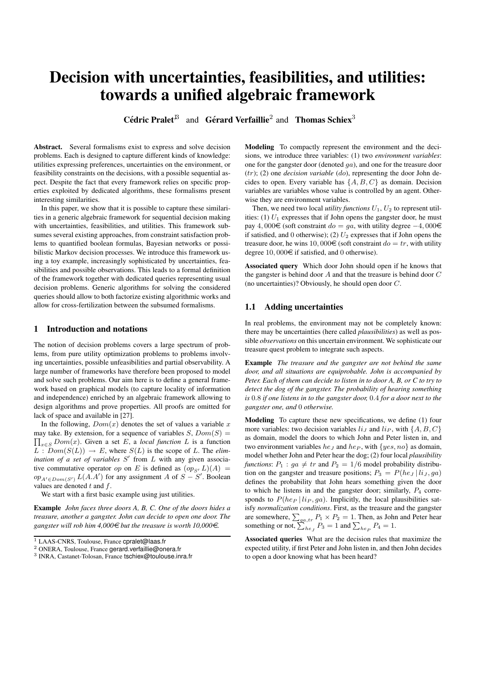# Decision with uncertainties, feasibilities, and utilities: towards a unified algebraic framework

Cédric Pralet<sup> $3$ </sup> and Gérard Verfaillie<sup>2</sup> and Thomas Schiex<sup>3</sup>

Abstract. Several formalisms exist to express and solve decision problems. Each is designed to capture different kinds of knowledge: utilities expressing preferences, uncertainties on the environment, or feasibility constraints on the decisions, with a possible sequential aspect. Despite the fact that every framework relies on specific properties exploited by dedicated algorithms, these formalisms present interesting similarities.

In this paper, we show that it is possible to capture these similarities in a generic algebraic framework for sequential decision making with uncertainties, feasibilities, and utilities. This framework subsumes several existing approaches, from constraint satisfaction problems to quantified boolean formulas, Bayesian networks or possibilistic Markov decision processes. We introduce this framework using a toy example, increasingly sophisticated by uncertainties, feasibilities and possible observations. This leads to a formal definition of the framework together with dedicated queries representing usual decision problems. Generic algorithms for solving the considered queries should allow to both factorize existing algorithmic works and allow for cross-fertilization between the subsumed formalisms.

# 1 Introduction and notations

The notion of decision problems covers a large spectrum of problems, from pure utility optimization problems to problems involving uncertainties, possible unfeasibilities and partial observability. A large number of frameworks have therefore been proposed to model and solve such problems. Our aim here is to define a general framework based on graphical models (to capture locality of information and independence) enriched by an algebraic framework allowing to design algorithms and prove properties. All proofs are omitted for lack of space and available in [27].

In the following,  $Dom(x)$  denotes the set of values a variable x may take. By extension, for a sequence of variables  $S$ ,  $Dom(S)$  =  $\prod_{x \in S} Dom(x)$ . Given a set E, a *local function* L is a function  $L: Dom(S(L)) \to E$ , where  $S(L)$  is the scope of L. The *elim*- $\phi$ *ination of a set of variables*  $S'$  from  $L$  with any given associative commutative operator op on E is defined as  $(op_{S'} L)(A)$  =  $op_{A' \in Dom(S')} L(A.A')$  for any assignment A of  $S - S'$ . Boolean values are denoted  $t$  and  $f$ .

We start with a first basic example using just utilities.

Example *John faces three doors A, B, C. One of the doors hides a treasure, another a gangster. John can decide to open one door. The gangster will rob him 4,000*  $\in$  *but the treasure is worth 10,000*  $\in$ *.* 

Modeling To compactly represent the environment and the decisions, we introduce three variables: (1) two *environment variables*: one for the gangster door (denoted  $qa$ ), and one for the treasure door  $(tr)$ ; (2) one *decision variable* (*do*), representing the door John decides to open. Every variable has  $\{A, B, C\}$  as domain. Decision variables are variables whose value is controlled by an agent. Otherwise they are environment variables.

Then, we need two local *utility functions*  $U_1$ ,  $U_2$  to represent utilities: (1)  $U_1$  expresses that if John opens the gangster door, he must pay 4,000€ (soft constraint  $do = ga$ , with utility degree  $-4,000\in$ if satisfied, and 0 otherwise); (2)  $U_2$  expresses that if John opens the treasure door, he wins 10,000€ (soft constraint  $do = tr$ , with utility degree 10, 000 $\in$  if satisfied, and 0 otherwise).

Associated query Which door John should open if he knows that the gangster is behind door  $A$  and that the treasure is behind door  $C$ (no uncertainties)? Obviously, he should open door C.

# 1.1 Adding uncertainties

In real problems, the environment may not be completely known: there may be uncertainties (here called *plausibilities*) as well as possible *observations* on this uncertain environment. We sophisticate our treasure quest problem to integrate such aspects.

Example *The treasure and the gangster are not behind the same door, and all situations are equiprobable. John is accompanied by Peter. Each of them can decide to listen in to door A, B, or C to try to detect the dog of the gangster. The probability of hearing something is* 0.8 *if one listens in to the gangster door,* 0.4 *for a door next to the gangster one, and* 0 *otherwise.*

Modeling To capture these new specifications, we define (1) four more variables: two decision variables  $li_J$  and  $li_P$ , with  $\{A, B, C\}$ as domain, model the doors to which John and Peter listen in, and two environment variables  $he_J$  and  $he_P$ , with  $\{yes, no\}$  as domain, model whether John and Peter hear the dog; (2) four local *plausibility functions*:  $P_1$  :  $qa \neq tr$  and  $P_2 = 1/6$  model probability distribution on the gangster and treasure positions;  $P_3 = P(he_J \, | \, li_J, qa)$ defines the probability that John hears something given the door to which he listens in and the gangster door; similarly,  $P_4$  corresponds to  $P(he_P | li_P, ga)$ . Implicitly, the local plausibilities satisfy *normalization conditions*. First, as the treasure and the gangster are somewhere,  $\sum_{ga,tr} P_1 \times P_2 = 1$ . Then, as John and Peter hear something or not,  $\sum_{he_J} P_3 = 1$  and  $\sum_{he_P} P_4 = 1$ .

Associated queries What are the decision rules that maximize the expected utility, if first Peter and John listen in, and then John decides to open a door knowing what has been heard?

<sup>&</sup>lt;sup>1</sup> LAAS-CNRS, Toulouse, France coralet@laas.fr

<sup>2</sup> ONERA, Toulouse, France gerard.verfaillie@onera.fr

<sup>3</sup> INRA, Castanet-Tolosan, France tschiex@toulouse.inra.fr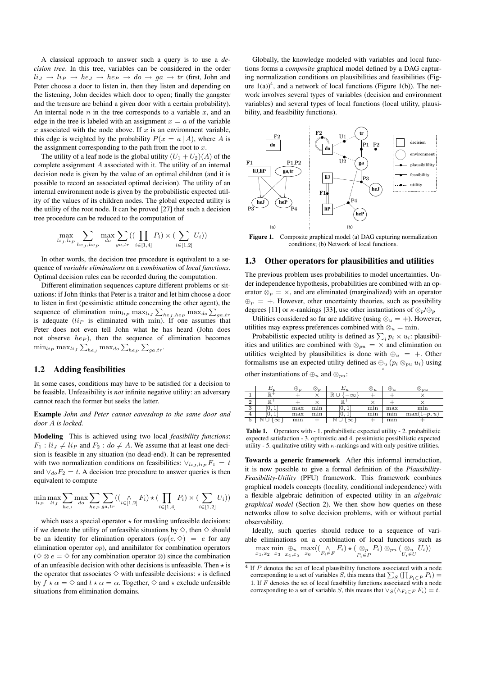A classical approach to answer such a query is to use a *decision tree*. In this tree, variables can be considered in the order  $li_J \rightarrow li_P \rightarrow he_J \rightarrow he_P \rightarrow do \rightarrow ga \rightarrow tr$  (first, John and Peter choose a door to listen in, then they listen and depending on the listening, John decides which door to open; finally the gangster and the treasure are behind a given door with a certain probability). An internal node  $n$  in the tree corresponds to a variable  $x$ , and an edge in the tree is labeled with an assignment  $x = a$  of the variable  $x$  associated with the node above. If  $x$  is an environment variable, this edge is weighted by the probability  $P(x = a | A)$ , where A is the assignment corresponding to the path from the root to  $x$ .

The utility of a leaf node is the global utility  $(U_1 + U_2)(A)$  of the complete assignment A associated with it. The utility of an internal decision node is given by the value of an optimal children (and it is possible to record an associated optimal decision). The utility of an internal environment node is given by the probabilistic expected utility of the values of its children nodes. The global expected utility is the utility of the root node. It can be proved [27] that such a decision tree procedure can be reduced to the computation of

$$
\max_{li_J, li_P} \sum_{he_J, he_P} \max_{do} \sum_{ga,tr} \left( \left( \prod_{i \in [1,4]} P_i \right) \times \left( \sum_{i \in [1,2]} U_i \right) \right)
$$

In other words, the decision tree procedure is equivalent to a sequence of *variable eliminations* on a *combination* of *local functions*. Optimal decision rules can be recorded during the computation.

Different elimination sequences capture different problems or situations: if John thinks that Peter is a traitor and let him choose a door to listen in first (pessimistic attitude concerning the other agent), the sequence of elimination  $\min_{\{i_P\}} \max_{\{i_J\}} \sum_{he_J,he_P} \max_{do} \sum_{ga,tr}$ <br>is adequate  $(lip$  is eliminated with min). If one assumes that Peter does not even tell John what he has heard (John does not observe  $he_P$ ), then the sequence of elimination becomes  $\min_{lip} \max_{li_J} \sum_{he_J} \max_{do} \sum_{he_P} \sum_{ga,tr}.$ 

# 1.2 Adding feasibilities

In some cases, conditions may have to be satisfied for a decision to be feasible. Unfeasibility is *not* infinite negative utility: an adversary cannot reach the former but seeks the latter.

Example *John and Peter cannot eavesdrop to the same door and door* A *is locked.*

Modeling This is achieved using two local *feasibility functions*:  $F_1$ :  $li_J \neq li_P$  and  $F_2$ :  $do \neq A$ . We assume that at least one decision is feasible in any situation (no dead-end). It can be represented with two normalization conditions on feasibilities:  $\vee_{li}$  ,  $\vee_{li}$   $F_1 = t$ and  $\vee_{do} F_2 = t$ . A decision tree procedure to answer queries is then equivalent to compute

$$
\min_{li_P} \max_{li_J} \sum_{he_J} \max_{do} \sum_{he_P} \sum_{ga,tr} \left( \big(\bigwedge_{i \in [1,2]} F_i \big) \star \big(\prod_{i \in [1,4]} P_i \big) \times \big(\sum_{i \in [1,2]} U_i \big) \right)
$$

which uses a special operator  $\star$  for masking unfeasible decisions: if we denote the utility of unfeasible situations by  $\diamondsuit$ , then  $\diamondsuit$  should be an identity for elimination operators  $(op(e, \diamond) = e$  for any elimination operator  $op$ ), and annihilator for combination operators ( $\diamond$  ⊗  $e = \diamond$  for any combination operator ⊗) since the combination of an unfeasible decision with other decisions is unfeasible. Then  $\star$  is the operator that associates  $\diamond$  with unfeasible decisions:  $\star$  is defined by  $f \star \alpha = \Diamond$  and  $t \star \alpha = \alpha$ . Together,  $\Diamond$  and  $\star$  exclude unfeasible situations from elimination domains.

Globally, the knowledge modeled with variables and local functions forms a *composite* graphical model defined by a DAG capturing normalization conditions on plausibilities and feasibilities (Figure  $1(a)$ <sup>4</sup>, and a network of local functions (Figure 1(b)). The network involves several types of variables (decision and environment variables) and several types of local functions (local utility, plausibility, and feasibility functions).



Figure 1. Composite graphical model (a) DAG capturing normalization conditions; (b) Network of local functions.

#### 1.3 Other operators for plausibilities and utilities

The previous problem uses probabilities to model uncertainties. Under independence hypothesis, probabilities are combined with an operator  $\otimes_p = \times$ , and are eliminated (marginalized) with an operator  $\oplus_p$  = +. However, other uncertainty theories, such as possibility degrees [11] or  $\kappa$ -rankings [33], use other instantiations of  $\otimes_p/\oplus_p$ 

Utilities considered so far are additive (using  $\otimes_u = +$ ). However, utilities may express preferences combined with  $\otimes_u = \min$ .

Probabilistic expected utility is defined as  $\sum_i p_i \times u_i$ : plausibilities and utilities are combined with  $\otimes_{pu} = \times$  and elimination on utilities weighted by plausibilities is done with  $\oplus_u = +$ . Other formalisms use an expected utility defined as  $\bigoplus_i (p_i \otimes_{pu} u_i)$  using ther instantiations of  $⊓$ 

| other instantiations of $\bigoplus_u$ and $\bigotimes_{pu}$ |  |  |  |  |
|-------------------------------------------------------------|--|--|--|--|
|-------------------------------------------------------------|--|--|--|--|

|               |                  | . † 7 ന |     | $-21$       | $\otimes_u$    | $\bigtriangledown_{11}$ | $\triangleright$ $_{\scriptscriptstyle\rm\!}$ $\scriptscriptstyle\rm\!}$ |
|---------------|------------------|---------|-----|-------------|----------------|-------------------------|--------------------------------------------------------------------------|
|               |                  |         |     | $\mathbb R$ |                |                         |                                                                          |
| $\Omega$<br>▵ |                  |         |     |             |                |                         |                                                                          |
| 3             |                  | max     | min | v           | m <sub>1</sub> | max                     | mın                                                                      |
| 4             |                  | max     | min | v           | m <sub>1</sub> | mın                     | $-p, u$<br>max(                                                          |
| ð             | N<br>$_{\infty}$ | mın     |     |             |                | mın                     |                                                                          |

Table 1. Operators with - 1. probabilistic expected utility - 2. probabilistic expected satisfaction - 3. optimistic and 4. pessimistic possibilistic expected utility - 5. qualitative utility with  $\kappa$ -rankings and with only positive utilities.

Towards a generic framework After this informal introduction, it is now possible to give a formal definition of the *Plausibility-Feasibility-Utility* (PFU) framework. This framework combines graphical models concepts (locality, conditional independence) with a flexible algebraic definition of expected utility in an *algebraic graphical model* (Section 2). We then show how queries on these networks allow to solve decision problems, with or without partial observability.

Ideally, such queries should reduce to a sequence of variable eliminations on a combination of local functions such as

$$
\max_{x_1,x_2} \min_{x_3} \bigoplus_{x_4,x_5} \max_{x_6} ((\bigwedge_{F_i \in F} F_i) \star (\bigotimes_{P_i \in P} P_i) \otimes_{pu} (\bigotimes_{U_i \in U} U_i))
$$

 $4$  If  $P$  denotes the set of local plausibility functions associated with a node corresponding to a set of variables *S*, this means that  $\sum_{S} (\prod_{P_i \in P} P_i) =$ 1. If  $F$  denotes the set of local feasibility functions associated with a node corresponding to a set of variable S, this means that  $\vee_S(\wedge_{F_i\in F}F_i)=t$ .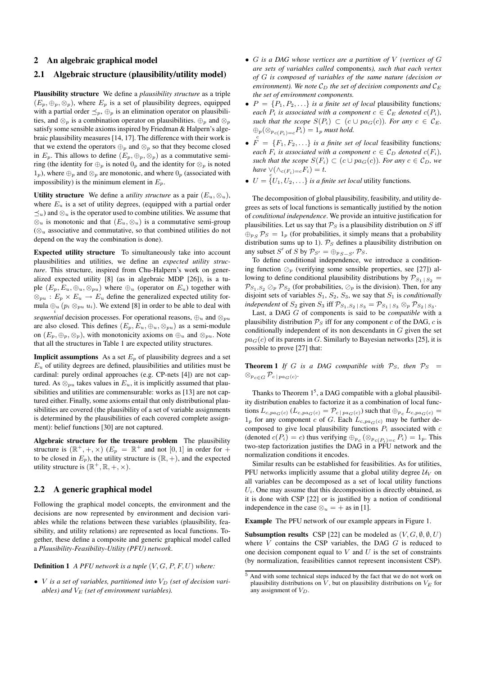### 2 An algebraic graphical model

## 2.1 Algebraic structure (plausibility/utility model)

Plausibility structure We define a *plausibility structure* as a triple  $(E_p, \oplus_p, \otimes_p)$ , where  $E_p$  is a set of plausibility degrees, equipped with a partial order  $\preceq_p, \oplus_p$  is an elimination operator on plausibilities, and  $\otimes_p$  is a combination operator on plausibilities.  $\oplus_p$  and  $\otimes_p$ satisfy some sensible axioms inspired by Friedman & Halpern's algebraic plausibility measures [14, 17]. The difference with their work is that we extend the operators  $\bigoplus_p$  and  $\otimes_p$  so that they become closed in  $E_p$ . This allows to define  $(E_p, \oplus_p, \otimes_p)$  as a commutative semiring (the identity for  $\oplus_p$  is noted  $0_p$  and the identity for  $\otimes_p$  is noted  $1_p$ ), where  $\bigoplus_p$  and  $\otimes_p$  are monotonic, and where  $0_p$  (associated with impossibility) is the minimum element in  $E_p$ .

Utility structure We define a *utility structure* as a pair  $(E_u, \otimes_u)$ , where  $E_u$  is a set of utility degrees, (equipped with a partial order  $\preceq_u$ ) and  $\otimes_u$  is the operator used to combine utilities. We assume that  $\otimes_u$  is monotonic and that  $(E_u, \otimes_u)$  is a commutative semi-group  $(\otimes_u$  associative and commutative, so that combined utilities do not depend on the way the combination is done).

Expected utility structure To simultaneously take into account plausibilities and utilities, we define an *expected utility structure*. This structure, inspired from Chu-Halpern's work on generalized expected utility [8] (as in algebraic MDP [26]), is a tuple  $(E_p, E_u, \oplus_u, \otimes_{pu})$  where  $\oplus_u$  (operator on  $E_u$ ) together with  $\otimes_{pu}$ :  $E_p \times E_u \rightarrow E_u$  define the generalized expected utility formula  $\bigoplus_u (p_i \otimes_{pu} u_i)$ . We extend [8] in order to be able to deal with *i i* equential decision processes. For operational reasons,  $\oplus_u$  and  $\otimes_{pu}$ 

are also closed. This defines  $(E_p, E_u, \oplus_u, \otimes_{pu})$  as a semi-module on  $(E_p, \oplus_p, \otimes_p)$ , with monotonicity axioms on  $\oplus_u$  and  $\otimes_{pu}$ . Note that all the structures in Table 1 are expected utility structures.

**Implicit assumptions** As a set  $E_p$  of plausibility degrees and a set  $E_u$  of utility degrees are defined, plausibilities and utilities must be cardinal: purely ordinal approaches (e.g. CP-nets [4]) are not captured. As  $\otimes_{pu}$  takes values in  $E_u$ , it is implicitly assumed that plausibilities and utilities are commensurable: works as [13] are not captured either. Finally, some axioms entail that only distributional plausibilities are covered (the plausibility of a set of variable assignments is determined by the plausibilities of each covered complete assignment): belief functions [30] are not captured.

Algebraic structure for the treasure problem The plausibility structure is  $(\mathbb{R}^+, +, \times)$   $(E_p = \mathbb{R}^+$  and not  $[0, 1]$  in order for  $+$ to be closed in  $E_p$ ), the utility structure is  $(\mathbb{R}, +)$ , and the expected utility structure is  $(\mathbb{R}^+, \mathbb{R}, +, \times)$ .

# 2.2 A generic graphical model

Following the graphical model concepts, the environment and the decisions are now represented by environment and decision variables while the relations between these variables (plausibility, feasibility, and utility relations) are represented as local functions. Together, these define a composite and generic graphical model called a *Plausibility-Feasibility-Utility (PFU) network*.

Definition 1 *A PFU network is a tuple* (V, G, P, F, U) *where:*

• *V* is a set of variables, partitioned into  $V_D$  (set of decision vari*ables)* and  $V_F$  *(set of environment variables).* 

- G *is a DAG whose vertices are a partition of* V *(vertices of* G *are sets of variables called* components*), such that each vertex of* G *is composed of variables of the same nature (decision or environment*). We note  $\mathcal{C}_D$  *the set of decision components and*  $\mathcal{C}_E$ *the set of environment components.*
- $P = \{P_1, P_2, \ldots\}$  *is a finite set of local* plausibility functions; *each*  $P_i$  *is associated with a component*  $c \in \mathcal{C}_E$  *denoted*  $c(P_i)$ *, such that the scope*  $S(P_i) \subset (c \cup pa_G(c))$ *. For any*  $c \in \mathcal{C}_E$ *.*  $\bigoplus_p (\otimes_{p_{c(P_i)=c}} P_i) = 1_p$  must hold.
- $\overrightarrow{F} = \{F_1, F_2, \ldots\}$  *is a finite set of local* feasibility functions; *each*  $F_i$  *is associated with a component*  $c \in C_D$  *denoted*  $c(F_i)$ *, such that the scope*  $S(F_i) \subset (c \cup pa_G(c))$ *. For any*  $c \in \mathcal{C}_D$ *, we*  $have \vee (\wedge_{c(F_i)=c}F_i)=t.$
- $U = \{U_1, U_2, \ldots\}$  *is a finite set local utility functions.*

The decomposition of global plausibility, feasibility, and utility degrees as sets of local functions is semantically justified by the notion of *conditional independence*. We provide an intuitive justification for plausibilities. Let us say that  $P<sub>S</sub>$  is a plausibility distribution on S iff  $\bigoplus_{p\leq s} \mathcal{P}_S = 1_p$  (for probabilities, it simply means that a probability distribution sums up to 1).  $\mathcal{P}_S$  defines a plausibility distribution on any subset S' of S by  $\mathcal{P}_{S'} = \bigoplus_{p_{S-S'}} \mathcal{P}_S$ .

To define conditional independence, we introduce a conditioning function  $\mathcal{O}_p$  (verifying some sensible properties, see [27]) allowing to define conditional plausibility distributions by  $\mathcal{P}_{S_1|S_2}$  $\mathcal{P}_{S_1,S_2} \oslash_{p} \mathcal{P}_{S_2}$  (for probabilities,  $\oslash_{p}$  is the division). Then, for any disjoint sets of variables  $S_1$ ,  $S_2$ ,  $S_3$ , we say that  $S_1$  is *conditionally independent* of  $S_2$  given  $S_3$  iff  $\mathcal{P}_{S_1,S_2 \mid S_3} = \mathcal{P}_{S_1 \mid S_3} \otimes_{\mathcal{P}} \mathcal{P}_{S_2 \mid S_3}$ .

Last, a DAG G of components is said to be *compatible* with a plausibility distribution  $P<sub>S</sub>$  iff for any component c of the DAG, c is conditionally independent of its non descendants in G given the set  $pa_G(c)$  of its parents in G. Similarly to Bayesian networks [25], it is possible to prove [27] that:

**Theorem 1** If G is a DAG compatible with  $\mathcal{P}_S$ , then  $\mathcal{P}_S$  =  $\otimes_{p_{c} \in G} \mathcal{P}_{c| \textit{pa}_G(c)}$ .

Thanks to Theorem  $1<sup>5</sup>$ , a DAG compatible with a global plausibility distribution enables to factorize it as a combination of local functions  $L_{c,pa_G(c)}$  ( $L_{c,pa_G(c)} = \mathcal{P}_{c|pa_G(c)}$ ) such that  $\oplus_{p_c} L_{c,pa_G(c)} =$  $1_p$  for any component c of G. Each  $L_{c,pa_G(c)}$  may be further decomposed to give local plausibility functions  $P_i$  associated with  $c$ (denoted  $c(P_i) = c$ ) thus verifying  $\bigoplus_{P_c} (\bigotimes_{P_c(P_i)=c} P_i) = 1_p$ . This two-step factorization justifies the DAG in a PFU network and the normalization conditions it encodes.

Similar results can be established for feasibilities. As for utilities, PFU networks implicitly assume that a global utility degree  $\mathcal{U}_V$  on all variables can be decomposed as a set of local utility functions  $U_i$ . One may assume that this decomposition is directly obtained, as it is done with CSP [22] or is justified by a notion of conditional independence in the case  $\otimes_u = +$  as in [1].

Example The PFU network of our example appears in Figure 1.

**Subsumption results** CSP [22] can be modeled as  $(V, G, \emptyset, \emptyset, U)$ where  $V$  contains the CSP variables, the DAG  $G$  is reduced to one decision component equal to  $V$  and  $U$  is the set of constraints (by normalization, feasibilities cannot represent inconsistent CSP).

<sup>&</sup>lt;sup>5</sup> And with some technical steps induced by the fact that we do not work on plausibility distributions on  $\dot{V}$ , but on plausibility distributions on  $V_E$  for any assignment of  $V_D$ .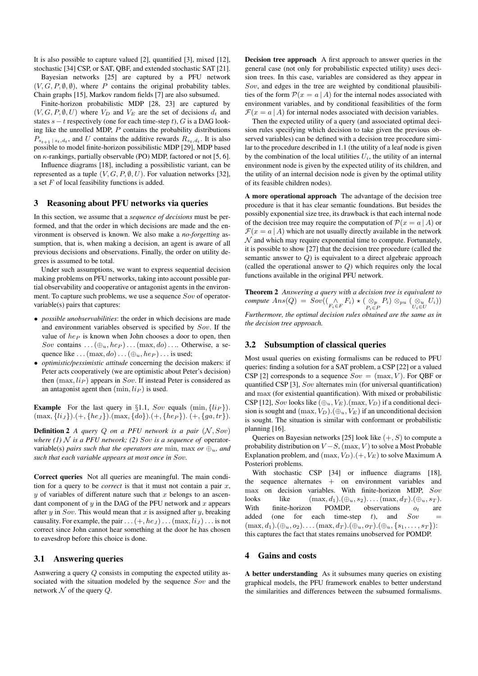It is also possible to capture valued [2], quantified [3], mixed [12], stochastic [34] CSP, or SAT, QBF, and extended stochastic SAT [21].

Bayesian networks [25] are captured by a PFU network  $(V, G, P, \emptyset, \emptyset)$ , where P contains the original probability tables. Chain graphs [15], Markov random fields [7] are also subsumed.

Finite-horizon probabilistic MDP [28, 23] are captured by  $(V, G, P, \emptyset, U)$  where  $V_D$  and  $V_E$  are the set of decisions  $d_t$  and states  $s - t$  respectively (one for each time-step t), G is a DAG looking like the unrolled MDP,  $P$  contains the probability distributions  $P_{s_{t+1} | s_t, d_t}$ , and U contains the additive rewards  $R_{s_t, d_t}$ . It is also possible to model finite-horizon possibilistic MDP [29], MDP based on  $\kappa$ -rankings, partially observable (PO) MDP, factored or not [5, 6].

Influence diagrams [18], including a possibilistic variant, can be represented as a tuple  $(V, G, P, \emptyset, U)$ . For valuation networks [32], a set  $F$  of local feasibility functions is added.

### 3 Reasoning about PFU networks via queries

In this section, we assume that a *sequence of decisions* must be performed, and that the order in which decisions are made and the environment is observed is known. We also make a *no-forgetting* assumption, that is, when making a decision, an agent is aware of all previous decisions and observations. Finally, the order on utility degrees is assumed to be total.

Under such assumptions, we want to express sequential decision making problems on PFU networks, taking into account possible partial observability and cooperative or antagonist agents in the environment. To capture such problems, we use a sequence Sov of operatorvariable(s) pairs that captures:

- *possible unobservabilities*: the order in which decisions are made and environment variables observed is specified by Sov. If the value of  $he_P$  is known when John chooses a door to open, then Sov contains ...  $(\bigoplus_u, h e_P)$ ...  $(\max, do)$ .... Otherwise, a sequence like ...  $(max, do) \dots (\oplus_u, hep) \dots$  is used;
- *optimistic/pessimistic attitude* concerning the decision makers: if Peter acts cooperatively (we are optimistic about Peter's decision) then  $(\text{max}, \text{lip})$  appears in Sov. If instead Peter is considered as an antagonist agent then  $(\min, li_P)$  is used.

**Example** For the last query in §1.1, Sov equals (min,  $\{lip\}$ ).  $(\max, \{li_J\}).(+, \{he_J\}).(\max, \{do\}).(+, \{he_P\}).(+, \{ga, tr\}).$ 

**Definition 2** *A query*  $Q$  *on a PFU network is a pair*  $(N, Sov)$ *where (1)*  $N$  *is a PFU network; (2) Sov is a sequence of operator*variable(s) *pairs such that the operators are* min, max *or*  $\bigoplus_u$ *, and such that each variable appears at most once in* Sov*.*

Correct queries Not all queries are meaningful. The main condition for a query to be *correct* is that it must not contain a pair x,  $y$  of variables of different nature such that  $x$  belongs to an ascendant component of  $y$  in the DAG of the PFU network and  $x$  appears after  $y$  in Sov. This would mean that  $x$  is assigned after  $y$ , breaking causality. For example, the pair  $\dots (+, he_J) \dots (max, li_J) \dots$  is not correct since John cannot hear something at the door he has chosen to eavesdrop before this choice is done.

## 3.1 Answering queries

Asnwering a query Q consists in computing the expected utility associated with the situation modeled by the sequence Sov and the network  $\mathcal N$  of the query  $\mathcal Q$ .

Decision tree approach A first approach to answer queries in the general case (not only for probabilistic expected utility) uses decision trees. In this case, variables are considered as they appear in Sov, and edges in the tree are weighted by conditional plausibilities of the form  $\mathcal{P}(x = a | A)$  for the internal nodes associated with environment variables, and by conditional feasibilities of the form  $\mathcal{F}(x = a | A)$  for internal nodes associated with decision variables.

Then the expected utility of a query (and associated optimal decision rules specifying which decision to take given the previous observed variables) can be defined with a decision tree procedure similar to the procedure described in 1.1 (the utility of a leaf node is given by the combination of the local utilities  $U_i$ , the utility of an internal environment node is given by the expected utility of its children, and the utility of an internal decision node is given by the optimal utility of its feasible children nodes).

A more operational approach The advantage of the decision tree procedure is that it has clear semantic foundations. But besides the possibly exponential size tree, its drawback is that each internal node of the decision tree may require the computation of  $\mathcal{P}(x = a | A)$  or  $\mathcal{F}(x = a | A)$  which are not usually directly available in the network  $N$  and which may require exponential time to compute. Fortunately, it is possible to show [27] that the decision tree procedure (called the semantic answer to Q) is equivalent to a direct algebraic approach (called the operational answer to Q) which requires only the local functions available in the original PFU network.

Theorem 2 *Answering a query with a decision tree is equivalent to compute*  $Ans(Q) = Sov((\bigwedge_{F_i \in F} F_i) \star (\bigotimes_{P_i \in P} P_i) \otimes_{pu} (\bigotimes_{u_i} U_i))$ *Furthermore, the optimal decision rules obtained are the same as in the decision tree approach.*

#### 3.2 Subsumption of classical queries

Most usual queries on existing formalisms can be reduced to PFU queries: finding a solution for a SAT problem, a CSP [22] or a valued CSP [2] corresponds to a sequence  $Sov = (\text{max}, V)$ . For QBF or quantified CSP [3], Sov alternates min (for universal quantification) and max (for existential quantification). With mixed or probabilistic CSP [12], Sov looks like  $(\bigoplus_u, V_E)$ . (max,  $V_D$ ) if a conditional decision is sought and  $(\max, V_D)$ .  $(\bigoplus_u, V_E)$  if an unconditional decision is sought. The situation is similar with conformant or probabilistic planning [16].

Queries on Bayesian networks [25] look like  $(+, S)$  to compute a probability distribution on  $V-S$ , (max, V) to solve a Most Probable Explanation problem, and  $(\text{max}, V_D)$ .  $(+, V_E)$  to solve Maximum A Posteriori problems.

With stochastic CSP [34] or influence diagrams [18], the sequence alternates + on environment variables and max on decision variables. With finite-horizon MDP, Sov looks like  $(\max, d_1).(\bigoplus_i, s_2). \dots (\max, d_T).(\bigoplus_i, s_T).$ With finite-horizon POMDP, observations  $o_t$  are added (one for each time-step  $t$ ), and  $Sov =$  $(\max, d_1).(\oplus_u, o_2). \dots (\max, d_T).(\oplus_u, o_T).(\oplus_u, \{s_1, \dots, s_T\})$ : this captures the fact that states remains unobserved for POMDP.

#### 4 Gains and costs

A better understanding As it subsumes many queries on existing graphical models, the PFU framework enables to better understand the similarities and differences between the subsumed formalisms.